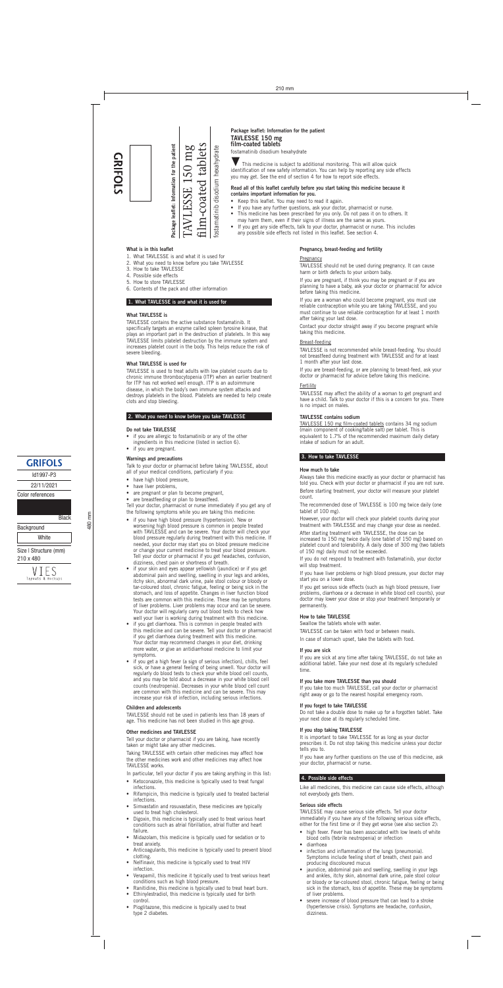if you have high blood pressure (hypertension). New or worsening high blood pressure is common in people treated with TAVLESSE and can be severe. Your doctor will check your blood pressure regularly during treatment with this medicine. If needed, your doctor may start you on blood pressure medicine

#### **Do not take TAVLESSE**

- if you are allergic to fostamatinib or any of the other ingredients in this medicine (listed in section 6).
- if you are pregnant.

#### **Warnings and precautions**

Talk to your doctor or pharmacist before taking TAVLESSE, about all of your medical conditions, particularly if you:

- have high blood pressure,
- have liver problems,
- are pregnant or plan to become pregnant,
- are breastfeeding or plan to breastfeed.

Tell your doctor, pharmacist or nurse immediately if you get any of the following symptoms while you are taking this medicine:

or change your current medicine to treat your blood pressure. Tell your doctor or pharmacist if you get headaches, confusion, dizziness, chest pain or shortness of breath.

- if your skin and eyes appear yellowish (jaundice) or if you get abdominal pain and swelling, swelling in your legs and ankles, itchy skin, abnormal dark urine, pale stool colour or bloody or tar-coloured stool, chronic fatigue, feeling or being sick in the stomach, and loss of appetite. Changes in liver function blood tests are common with this medicine. These may be symptoms of liver problems. Liver problems may occur and can be severe. Your doctor will regularly carry out blood tests to check how well your liver is working during treatment with this medicine.
- if you get diarrhoea. This is common in people treated with this medicine and can be severe. Tell your doctor or pharmacist if you get diarrhoea during treatment with this medicine. Your doctor may recommend changes in your diet, drinking more water, or give an antidiarrhoeal medicine to limit your symptoms.
- if you get a high fever (a sign of serious infection), chills, feel sick, or have a general feeling of being unwell. Your doctor will regularly do blood tests to check your white blood cell counts, and you may be told about a decrease in your white blood cell counts (neutropenia). Decreases in your white blood cell count are common with this medicine and can be severe. This may increase your risk of infection, including serious infections.

#### **Children and adolescents**

TAVLESSE should not be used in patients less than 18 years of age. This medicine has not been studied in this age group.

#### **Other medicines and TAVLESSE**

Tell your doctor or pharmacist if you are taking, have recently taken or might take any other medicines.

Taking TAVLESSE with certain other medicines may affect how the other medicines work and other medicines may affect how TAVLESSE works.

In particular, tell your doctor if you are taking anything in this list:

- Ketoconazole, this medicine is typically used to treat fungal infections.
- Rifampicin, this medicine is typically used to treated bacterial infections.
- Simvastatin and rosuvastatin, these medicines are typically used to treat high cholesterol.
- Digoxin, this medicine is typically used to treat various heart conditions such as atrial fibrillation, atrial flutter and heart failure.
- Midazolam, this medicine is typically used for sedation or to treat anxiety.
- Anticoagulants, this medicine is typically used to prevent blood clotting.
- Nelfinavir, this medicine is typically used to treat HIV infection.
- Verapamil, this medicine it typically used to treat various heart conditions such as high blood pressure.
- Ranitidine, this medicine is typically used to treat heart burn.
- Ethinylestradiol, this medicine is typically used for birth control.
- Pioglitazone, this medicine is typically used to treat type 2 diabetes.

(main component of cooking/table salt) per tablet. This is equivalent to 1.7% of the recommended maximum daily dietary

intake of sodium for an adult.

**3. How to take TAVLESSE**

**How much to take**

Always take this medicine exactly as your doctor or pharmacist has told you. Check with your doctor or pharmacist if you are not sure. Before starting treatment, your doctor will measure your platelet

count.

The recommended dose of TAVLESSE is 100 mg twice daily (one tablet of 100 mg).

However, your doctor will check your platelet counts during your treatment with TAVLESSE and may change your dose as needed.

After starting treatment with TAVLESSE, the dose can be increased to 150 mg twice daily (one tablet of 150 mg) based on platelet count and tolerability. A daily dose of 300 mg (two tablets

# **GRIFOLS**

of 150 mg) daily must not be exceeded.

If you do not respond to treatment with fostamatinib, your doctor will stop treatment.

If you have liver problems or high blood pressure, your doctor may start you on a lower dose.

If you get serious side effects (such as high blood pressure, liver problems, diarrhoea or a decrease in white blood cell counts), your doctor may lower your dose or stop your treatment temporarily or permanently.

#### **How to take TAVLESSE**

Swallow the tablets whole with water.

TAVLESSE can be taken with food or between meals.

In case of stomach upset, take the tablets with food.

#### **If you are sick**

If you are sick at any time after taking TAVLESSE, do not take an additional tablet. Take your next dose at its regularly scheduled time.

#### **If you take more TAVLESSE than you should**

If you take too much TAVLESSE, call your doctor or pharmacist right away or go to the nearest hospital emergency room.

#### **If you forget to take TAVLESSE**

Do not take a double dose to make up for a forgotten tablet. Take your next dose at its regularly scheduled time.

#### **If you stop taking TAVLESSE**

It is important to take TAVLESSE for as long as your doctor prescribes it. Do not stop taking this medicine unless your doctor tells you to.

If you have any further questions on the use of this medicine, ask your doctor, pharmacist or nurse.



#### **4. Possible side effects**

Like all medicines, this medicine can cause side effects, although not everybody gets them.

#### **Serious side effects**

TAVLESSE may cause serious side effects. Tell your doctor immediately if you have any of the following serious side effects, either for the first time or if they get worse (see also section 2):

- high fever. Fever has been associated with low levels of white blood cells (febrile neutropenia) or infection
- diarrhoea
- infection and inflammation of the lungs (pneumonia). Symptoms include feeling short of breath, chest pain and producing discoloured mucus
- jaundice, abdominal pain and swelling, swelling in your legs and ankles, itchy skin, abnormal dark urine, pale stool colour or bloody or tar-coloured stool, chronic fatigue, feeling or being sick in the stomach, loss of appetite. These may be symptoms of liver problems.
- severe increase of blood pressure that can lead to a stroke (hypertensive crisis). Symptoms are headache, confusion, dizziness.

Id1997-P3 22/11/2021

Color references

**Black** Background **White** 

Size | Structure (mm) 210 x 480



480 mm